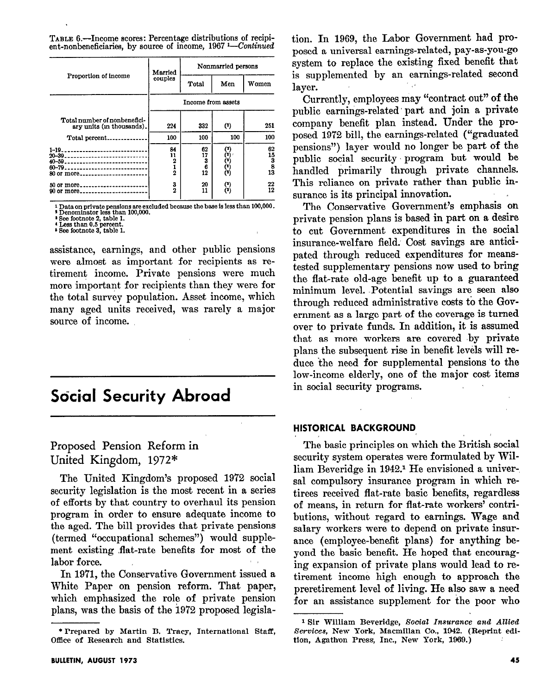TABLE 6.-Income scores: Percentage distributions of recipient-nonbeneficiaries, by source of income, 1967 <sup>1</sup>-Continued

| Proportion of income                                      | Married<br>couples              | Nonmarried persons       |            |                                                                         |
|-----------------------------------------------------------|---------------------------------|--------------------------|------------|-------------------------------------------------------------------------|
|                                                           |                                 | Total                    | Men        | Women                                                                   |
|                                                           | Income from assets              |                          |            |                                                                         |
| Total number of nonbenefici-<br>ary units (in thousands). | 224                             | 332                      | (2)        | 251                                                                     |
| Total percent                                             | 100                             | 100                      | 100        | 100                                                                     |
| 80 or more                                                | 84<br>11<br>2<br>$\overline{2}$ | 62<br>17<br>3<br>6<br>12 | (*)        | 62<br>15<br>$\begin{array}{c} \bar{3} \ \bar{8} \ \bar{13} \end{array}$ |
| 50 or more                                                | 3<br>$\overline{2}$             | 20<br>11                 | (*)<br>(*) | 22<br>12                                                                |

 $^1$  Data on private pensions are excluded because the base is less than 100,000. <br>  $^2$  Denominator less than 100,000. <br>  $^3$  See footnote 2, table 1. <br>  $^4$  Less than 0.5 percent. <br>  $^4$  Less than 0.5 percent. <br>  $^5$  Se

assistance, earnings, and other public pensions were almost as important for recipients as retirement income. Private pensions were much more important for recipients than they were for the total survey population. Asset income, which many aged units received, was rarely a major source of income.

## **Social Security Abroad**

Proposed Pension Reform in United Kingdom, 1972\*

The United Kingdom's proposed 1972 social security legislation is the most recent in a series of efforts by that country to overhaul its pension program in order to ensure adequate income to the aged. The bill provides that private pensions (termed "occupational schemes") would supplement existing flat-rate benefits for most of the labor force.

In 1971, the Conservative Government issued a White Paper on pension reform. That paper, which emphasized the role of private pension plans, was the basis of the 1972 proposed legislation. In 1969, the Labor Government had proposed a universal earnings-related, pay-as-you-go system to replace the existing fixed benefit that is supplemented by an earnings-related second laver.

Currently, employees may "contract out" of the public earnings-related part and join a private company benefit plan instead. Under the proposed 1972 bill, the earnings-related ("graduated pensions") layer would no longer be part of the public social security program but would be handled primarily through private channels. This reliance on private rather than public insurance is its principal innovation.

The Conservative Government's emphasis on private pension plans is based in part on a desire to cut Government expenditures in the social insurance-welfare field. Cost savings are anticipated through reduced expenditures for meanstested supplementary pensions now used to bring the flat-rate old-age benefit up to a guaranteed minimum level. Potential savings are seen also through reduced administrative costs to the Government as a large part of the coverage is turned over to private funds. In addition, it is assumed that as more workers are covered by private plans the subsequent rise in benefit levels will reduce the need for supplemental pensions to the low-income elderly, one of the major cost items in social security programs.

#### HISTORICAL BACKGROUND

The basic principles on which the British social security system operates were formulated by William Beveridge in 1942.<sup>1</sup> He envisioned a universal compulsory insurance program in which retirees received flat-rate basic benefits, regardless of means, in return for flat-rate workers' contributions, without regard to earnings. Wage and salary workers were to depend on private insurance (employee-benefit plans) for anything beyond the basic benefit. He hoped that encouraging expansion of private plans would lead to retirement income high enough to approach the preretirement level of living. He also saw a need for an assistance supplement for the poor who

<sup>\*</sup> Prepared by Martin B. Tracy, International Staff, Office of Research and Statistics.

<sup>&</sup>lt;sup>1</sup> Sir William Beveridge, Social Insurance and Allied Services, New York, Macmillan Co., 1942. (Reprint edition, Agathon Press, Inc., New York, 1969.)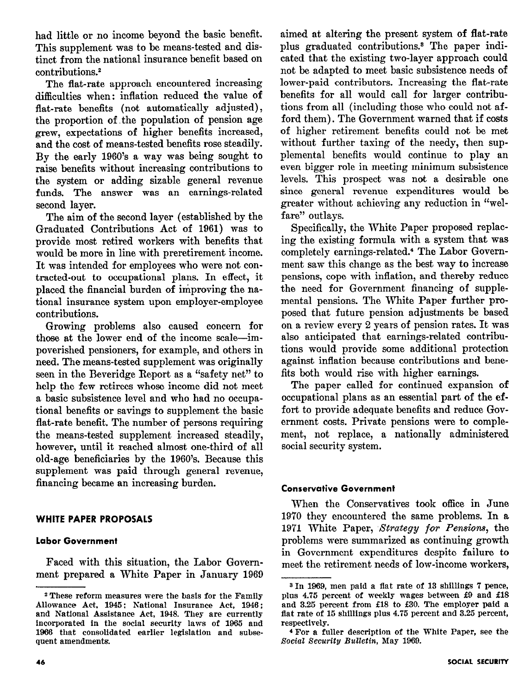had little or no income beyond the basic benefit. This supplement was to be means-tested and distinct from the national insurance benefit based on contributions.\*

The flat-rate approach encountered increasing difficulties when: inflation reduced the value of flat-rate benefits (not automatically adjusted), the proportion of .the population of pension age grew, expectations of higher benefits increased, and the cost of means-tested benefits rose steadily. By the early 1960's a way was being sought to raise benefits without increasing contributions to the system or adding sizable general revenue funds. The answer was an earnings-related second layer.

The aim of the second layer (established by the Graduated Contributions Act of 1961) was to provide most retired workers with benefits that would be more in line with preretirement income. It was intended for employees who were not contracted-out to occupational plans. In effect, it placed the financial burden of improving the national insurance system upon employer-employee contributions.

Growing problems also caused concern for those at the lower end of the income scale-impoverished pensioners, for example, and others in need. The means-tested supplement was originally seen in the Beveridge Report as a "safety net" to help the few retirees whose income did not meet a basic subsistence level and who had no occupational benefits or savings to supplement the basic flat-rate benefit. The number of persons requiring the means-tested supplement increased steadily, however, until it reached almost one-third of all old-age beneficiaries by the 1960's. Because this supplement was paid through general revenue, financing became an increasing burden.

## WHITE PAPER PROPOSALS

### labor Government

Faced with this situation, the Labor Government prepared a White Paper in January 1969

aimed at altering the present system of flat-rate plus graduated contributions.8 The paper indicated that the existing two-layer approach could not be adapted to meet basic subsistence needs of lower-paid contributors. Increasing the flat-rate benefits for all would call for larger contributions from all (including those who could not afford them). The Government warned that if costs of higher retirement benefits could not be met without further taxing of the needy, then supplemental benefits would continue to play an even bigger role in meeting minimum subsistence levels. This prospect was not a desirable one since general revenue expenditures would be greater without achieving any reduction in "welfare" outlays.

Specifically, the White Paper proposed replacing the existing formula with a system that was completely earnings-related.4 The Labor Government saw this change as the best way to increase pensions, cope with inflation, and thereby reduce the need for Government financing of supplemental pensions. The White Paper further proposed that future pension adjustments be based on a review every 2 years of pension rates. It was also anticipated that earnings-related contributions would provide some additional protection against inflation because contributions and benefits both would rise with higher earnings.

The paper called for continued expansion of occupational plans as an essential part of the effort to provide adequate benefits and reduce Government costs. Private pensions were to complement, not replace, a nationally administered social security system.

### Conservative Government

When the Conservatives took office in June 1970 they encountered the same problems. In a 1971 White Paper, Strategy for Pensions, the problems were summarized as continuing growth in Government expenditures despite failure to meet the retirement needs of low-income workers,

<sup>2</sup> These reform measures were the basis for the Family Allowance Act, 1945; National Insurance Act, 1946 ; and National Assistance Act, 1948. They are currently incorporated in the social security laws of 1965 and 1936 that consolidated earlier legislation and subsequent amendments.

<sup>&</sup>lt;sup>3</sup> In 1969, men paid a flat rate of 13 shillings 7 pence, plus 4.75 percent of weekly wages between f9 and f18 and 3.25 percent from f18 to f30. The employer paid a flat rate of 15 shillings plus 4.75 percent and 3.25 percent, respectively.

<sup>4</sup> For a fuller description of the White Paper, see the Social Security Bulletin, May 1969.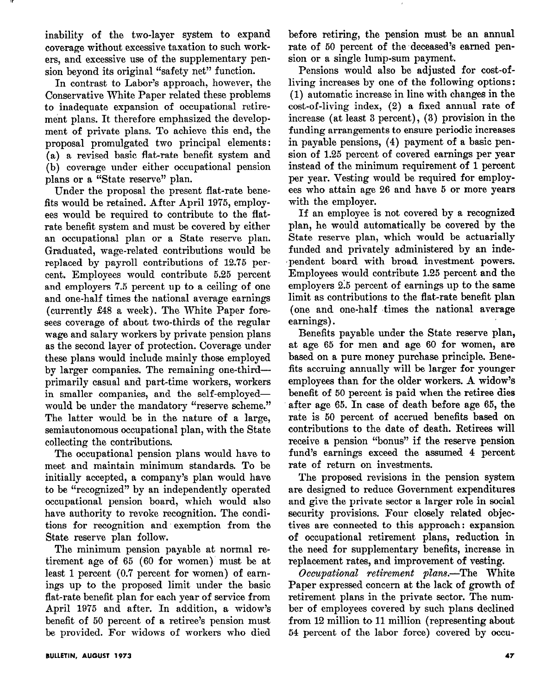inability of the two-layer system to expand coverage without excessive taxation to such workers, and excessive use of the supplementary pension beyond its original "safety net" function.

In contrast to Labor's approach, however, the Conservative White Paper related these problems to inadequate expansion of occupational retirement plans. It therefore emphasized the development of private plans. To achieve this end, the proposal promulgated two principal elements : (a) a revised basic flat-rate benefit system and (b) coverage under either occupational pension plans or a "State reserve" plan.

Under the proposal the present flat-rate benefits would be retained. After April 1975, employees would be required to contribute to the flatrate benefit system and must be covered by either an occupational plan or a State reserve plan. Graduated, wage-related contributions would be replaced by payroll contributions of 12.75 percent. Employees would contribute 5.25 percent and employers 7.5 percent up to a ceiling of one and one-half times the national average earnings (currently \$48 a week). The White Paper foresees coverage of about two-thirds of the regular wage and salary workers by private pension plans as the second layer of protection. Coverage under these plans would include mainly those employed by larger companies. The remaining one-thirdprimarily casual and part-time workers, workers in smaller companies, and the self-employedwould be under the mandatory "reserve scheme." The latter would be in the nature of a large, semiautonomous occupational plan, with the State collecting the contributions.

The occupational pension plans would have to meet and maintain minimum standards. To be initially accepted, a company's plan would have to be "recognized" by an independently operated occupational pension board, which would also have authority to revoke recognition. The conditions for recognition and exemption from the State reserve plan follow.

The minimum pension payable at normal retirement age of 65 (60 for women) must be at least 1 percent (0.7 percent for women) of earnings up to the proposed limit under the basic flat-rate benefit plan for each year of service from April 1975 and after. In addition, a widow's benefit of 50 percent of a retiree's pension must be provided. For widows of workers who died before retiring, the pension must be an annual rate of 50 percent of the deceased's earned pension or a single lump-sum payment.

Pensions would also be adjusted for cost-ofliving increases by one of the following options: (1) automatic increase in line with changes in the cost-of-living index, (2) a fixed annual rate of increase (at least 3 percent), (3) provision in the funding arrangements to ensure periodic increases in payable pensions, (4) payment of a basic pension of 1.25 percent of covered earnings per year instead of the minimum requirement of 1 percent per year. Vesting would be required for employees who attain age 26 and have 5 or more years with the employer.

If an employee is not covered by a recognized plan, he would automatically be covered by the State reserve plan, which would be actuarially funded and privately administered by an inde- ,pendent board with broad investment powers. Employees would contribute 1.25 percent and the employers 2.5 percent of earnings up to the same limit as contributions to the flat-rate benefit plan (one and one-half 'times the national average earnings).

Benefits payable under the State reserve plan, at age 65 for men and age 60 for women, are based on a pure money purchase principle. Benefits accruing annually will be larger for younger employees than for the older workers. A widow's benefit of 50 percent is paid when the retiree dies after age 65. In case of death before age 65, the rate is 50 percent of accrued benefits based on contributions to the date of death. Retirees will receive a pension "bonus" if the reserve pension fund's earnings exceed the assumed 4 percent rate of return on investments.

The proposed revisions in the pension system are designed to reduce Government expenditures and give the private sector a larger role in social security provisions. Four closely related objectives are connected to this approach: expansion of occupational retirement plans, reduction in the need for supplementary benefits, increase in replacement rates, and improvement of vesting.

Occupational retirement plans.—The White Paper expressed concern at the lack of growth of retirement plans in the private sector. The number of employees covered by such plans declined from 12 million to 11 million (representing about 54 percent of the labor force) covered by occu-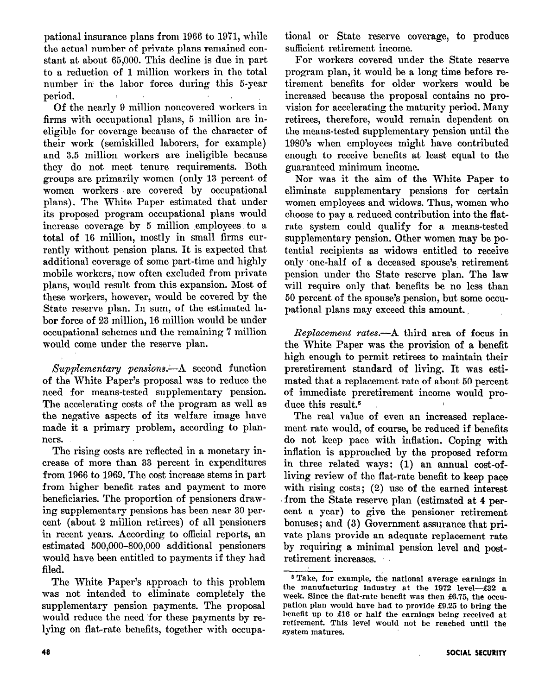pational insurance plans from 1966 to 1971, while the actual number of private plans remained constant at about 65,000. This decline is due in part to a reduction of 1 million workers in the total number in the labor force during this 5-year period.

Of the nearly 9 million noncovered workers in firms with occupational plans, 5 million are ineligible for coverage because of the character of their work (semiskilled laborers, for example) and 3.5 million workers are ineligible because they do not meet tenure requirements. Both groups are primarily women (only 13 percent of women workers are covered by occupational plans). The White Paper estimated that under its proposed program occupational plans would increase coverage by 5 million employees to a total of 16 million, mostly in small firms currently without pension plans. It is expected that additional coverage of some part-time and highly mobile workers, now often excluded from private plans, would result from this expansion. Most of these workers, however, would be covered by the State reserve plan. In sum, of the estimated labor force of 23 million, 16 million would be under occupational schemes and the remaining 7 million would come under the reserve plan.

 $Supplementary$  pensions.—A second function of the White Paper's proposal was to reduce the need for means-tested supplementary pension. The accelerating costs of the program as well as the negative aspects of its welfare image have made it a primary problem, according to planners.

The rising costs are reflected in a monetary increase of more than 33 percent in expenditures from 1966 to 1969. The cost increase stems in part from higher benefit rates and payment to more beneficiaries. The proportion of pensioners drawing supplementary pensions has been near 30 percent (about 2 million retirees) of all pensioners in recent years. According to official reports, an estimated 500,000-800,000 additional pensioners would have been entitled to payments if they had filed.

The White Paper's approach to this problem was not intended to eliminate completely the supplementary pension payments. The proposal would reduce the need 'for these payments by relying on flat-rate benefits, together with occupational or State reserve coverage, to produce sufficient retirement income.

For workers covered under the State reserve program plan, it would be a long time before retirement benefits for older workers would be increased because the proposal contains no provision for accelerating the maturity period. Many retirees, therefore, would remain dependent on the means-tested supplementary pension until the 1980's when employees might have contributed enough to receive benefits at least equal to the guaranteed minimum income.

Nor was it the aim of the White Paper to eliminate supplementary pensions for certain women employees and widows. Thus, 'women who choose to pay a reduced contribution into the flatrate system could qualify for a means-tested supplementary pension. Other women may be potential recipients as widows entitled to receive only one-half of a deceased spouse's retirement pension under the State reserve plan. The law will require only that benefits be no less than 50 percent of the spouse's pension, but some occupational plans may exceed this amount. ,

Replacement rates.-- A third area of focus in the White Paper was the provision of a benefit high enough to permit retirees to maintain their preretirement standard of living. It was estimated that a replacement rate of about 50 percent of immediate preretirement income would produce this result.<sup>5</sup>

The real value of even an increased replacement rate would, of course, be reduced if benefits do not keep pace with inflation. Coping with inflation is approached by the proposed reform in three related ways: (1) an annual cost-ofliving review of the flat-rate benefit to keep pace with rising costs; (2) use of the earned interest from the State reserve plan (estimated at 4 percent a year) to give the pensioner retirement bonuses; and (3) Government assurance that private plans provide an adequate replacement rate by requiring a minimal pension level and postretirement increases.

<sup>5</sup>Take, for example, tie national average earnings in the manufacturing industry at the  $1972$  level- $£32$  a week. Since the flat-rate benefit was then £6.75, the occupation plan would have had to provide f9.25 to bring the benefit up to f16 or half the earnings being received at retirement. This level would not be reached until the system matures.